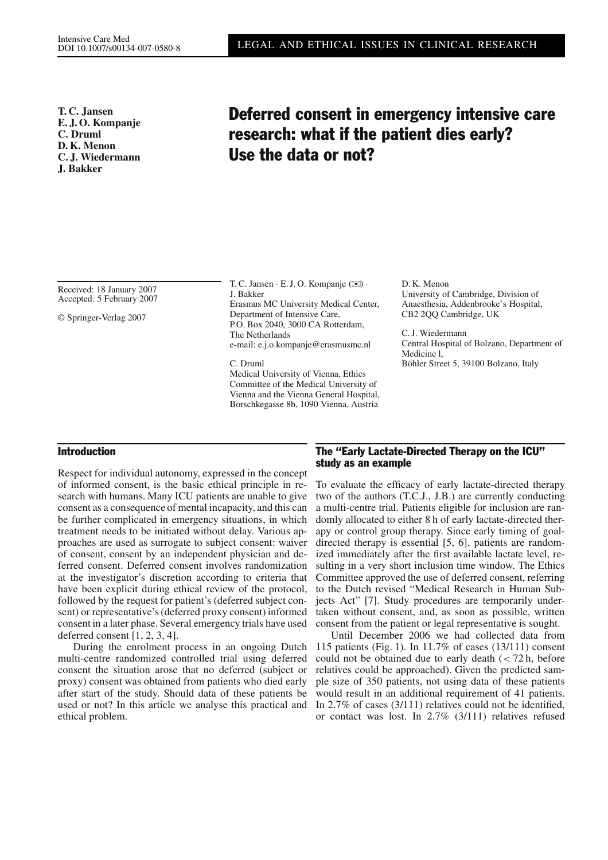**T. C. Jansen E. J. O. Kompanje C. Druml D. K. Menon C. J. Wiedermann J. Bakker**

# Deferred consent in emergency intensive care research: what if the patient dies early? Use the data or not?

Received: 18 January 2007 Accepted: 5 February 2007

© Springer-Verlag 2007

T. C. Jansen · E. J. O. Kompanje ( $\boxtimes$ ) · J. Bakker Erasmus MC University Medical Center, Department of Intensive Care, P.O. Box 2040, 3000 CA Rotterdam, The Netherlands e-mail: e.j.o.kompanje@erasmusmc.nl

C. Druml Medical University of Vienna, Ethics Committee of the Medical University of Vienna and the Vienna General Hospital, Borschkegasse 8b, 1090 Vienna, Austria

D. K. Menon University of Cambridge, Division of Anaesthesia, Addenbrooke's Hospital, CB2 2QQ Cambridge, UK

C. J. Wiedermann Central Hospital of Bolzano, Department of Medicine l, Böhler Street 5, 39100 Bolzano, Italy

# Introduction

Respect for individual autonomy, expressed in the concept of informed consent, is the basic ethical principle in research with humans. Many ICU patients are unable to give consent as a consequence of mental incapacity, and this can be further complicated in emergency situations, in which treatment needs to be initiated without delay. Various approaches are used as surrogate to subject consent: waiver of consent, consent by an independent physician and deferred consent. Deferred consent involves randomization at the investigator's discretion according to criteria that have been explicit during ethical review of the protocol, followed by the request for patient's (deferred subject consent) or representative's (deferred proxy consent) informed consent in a later phase. Several emergency trials have used deferred consent [1, 2, 3, 4].

During the enrolment process in an ongoing Dutch multi-centre randomized controlled trial using deferred consent the situation arose that no deferred (subject or proxy) consent was obtained from patients who died early after start of the study. Should data of these patients be used or not? In this article we analyse this practical and ethical problem.

# The "Early Lactate-Directed Therapy on the ICU" study as an example

To evaluate the efficacy of early lactate-directed therapy two of the authors (T.C.J., J.B.) are currently conducting a multi-centre trial. Patients eligible for inclusion are randomly allocated to either 8 h of early lactate-directed therapy or control group therapy. Since early timing of goaldirected therapy is essential [5, 6], patients are randomized immediately after the first available lactate level, resulting in a very short inclusion time window. The Ethics Committee approved the use of deferred consent, referring to the Dutch revised "Medical Research in Human Subjects Act" [7]. Study procedures are temporarily undertaken without consent, and, as soon as possible, written consent from the patient or legal representative is sought.

Until December 2006 we had collected data from 115 patients (Fig. 1). In 11.7% of cases (13/111) consent could not be obtained due to early death (*<* 72 h, before relatives could be approached). Given the predicted sample size of 350 patients, not using data of these patients would result in an additional requirement of 41 patients. In 2.7% of cases (3/111) relatives could not be identified, or contact was lost. In 2.7% (3/111) relatives refused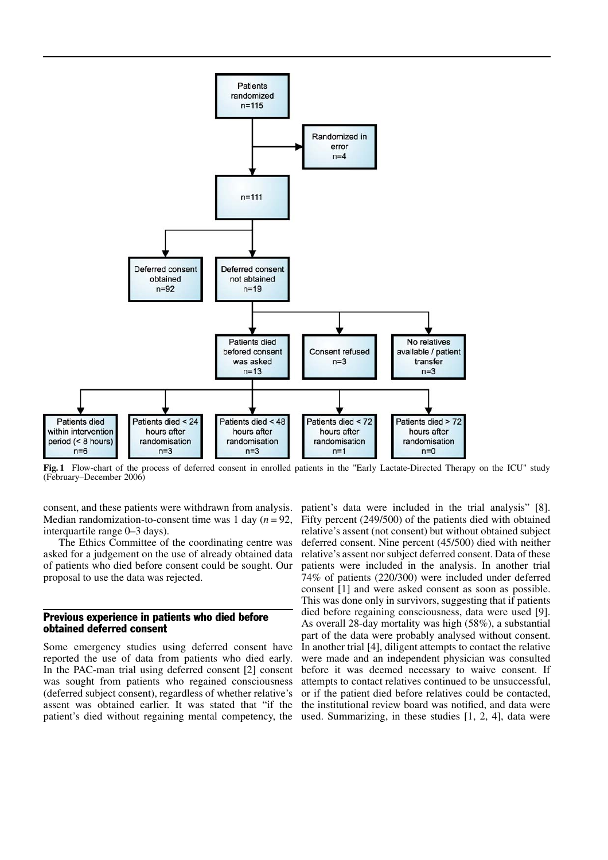

**Fig. 1** Flow-chart of the process of deferred consent in enrolled patients in the "Early Lactate-Directed Therapy on the ICU" study (February–December 2006)

consent, and these patients were withdrawn from analysis. Median randomization-to-consent time was 1 day  $(n = 92,$ interquartile range 0–3 days).

The Ethics Committee of the coordinating centre was asked for a judgement on the use of already obtained data of patients who died before consent could be sought. Our proposal to use the data was rejected.

# Previous experience in patients who died before obtained deferred consent

Some emergency studies using deferred consent have reported the use of data from patients who died early. In the PAC-man trial using deferred consent [2] consent was sought from patients who regained consciousness (deferred subject consent), regardless of whether relative's assent was obtained earlier. It was stated that "if the patient's died without regaining mental competency, the patient's data were included in the trial analysis" [8]. Fifty percent (249/500) of the patients died with obtained relative's assent (not consent) but without obtained subject deferred consent. Nine percent (45/500) died with neither relative's assent nor subject deferred consent. Data of these patients were included in the analysis. In another trial 74% of patients (220/300) were included under deferred consent [1] and were asked consent as soon as possible. This was done only in survivors, suggesting that if patients died before regaining consciousness, data were used [9]. As overall 28-day mortality was high (58%), a substantial part of the data were probably analysed without consent. In another trial [4], diligent attempts to contact the relative were made and an independent physician was consulted before it was deemed necessary to waive consent. If attempts to contact relatives continued to be unsuccessful, or if the patient died before relatives could be contacted, the institutional review board was notified, and data were used. Summarizing, in these studies [1, 2, 4], data were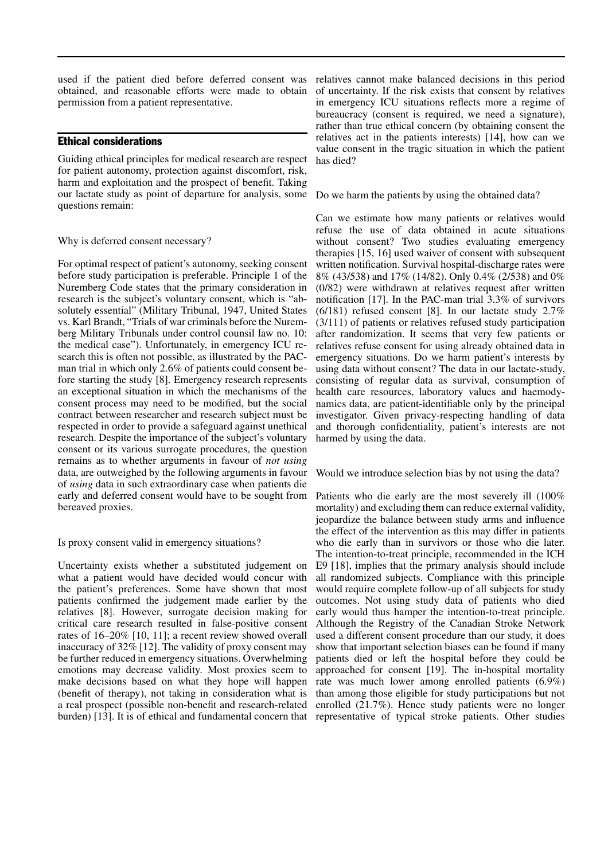used if the patient died before deferred consent was obtained, and reasonable efforts were made to obtain permission from a patient representative.

# Ethical considerations

Guiding ethical principles for medical research are respect for patient autonomy, protection against discomfort, risk, harm and exploitation and the prospect of benefit. Taking our lactate study as point of departure for analysis, some questions remain:

## Why is deferred consent necessary?

For optimal respect of patient's autonomy, seeking consent before study participation is preferable. Principle 1 of the Nuremberg Code states that the primary consideration in research is the subject's voluntary consent, which is "absolutely essential" (Military Tribunal, 1947, United States vs. Karl Brandt, "Trials of war criminals before the Nuremberg Military Tribunals under control counsil law no. 10: the medical case"). Unfortunately, in emergency ICU research this is often not possible, as illustrated by the PACman trial in which only 2.6% of patients could consent before starting the study [8]. Emergency research represents an exceptional situation in which the mechanisms of the consent process may need to be modified, but the social contract between researcher and research subject must be respected in order to provide a safeguard against unethical research. Despite the importance of the subject's voluntary consent or its various surrogate procedures, the question remains as to whether arguments in favour of *not using* data, are outweighed by the following arguments in favour of *using* data in such extraordinary case when patients die early and deferred consent would have to be sought from bereaved proxies.

Is proxy consent valid in emergency situations?

Uncertainty exists whether a substituted judgement on what a patient would have decided would concur with the patient's preferences. Some have shown that most patients confirmed the judgement made earlier by the relatives [8]. However, surrogate decision making for critical care research resulted in false-positive consent rates of 16–20% [10, 11]; a recent review showed overall inaccuracy of 32% [12]. The validity of proxy consent may be further reduced in emergency situations. Overwhelming emotions may decrease validity. Most proxies seem to make decisions based on what they hope will happen (benefit of therapy), not taking in consideration what is a real prospect (possible non-benefit and research-related burden) [13]. It is of ethical and fundamental concern that

relatives cannot make balanced decisions in this period of uncertainty. If the risk exists that consent by relatives in emergency ICU situations reflects more a regime of bureaucracy (consent is required, we need a signature), rather than true ethical concern (by obtaining consent the relatives act in the patients interests) [14], how can we value consent in the tragic situation in which the patient has died?

Do we harm the patients by using the obtained data?

Can we estimate how many patients or relatives would refuse the use of data obtained in acute situations without consent? Two studies evaluating emergency therapies [15, 16] used waiver of consent with subsequent written notification. Survival hospital-discharge rates were 8% (43/538) and 17% (14/82). Only 0.4% (2/538) and 0% (0/82) were withdrawn at relatives request after written notification [17]. In the PAC-man trial 3.3% of survivors (6/181) refused consent [8]. In our lactate study 2.7% (3/111) of patients or relatives refused study participation after randomization. It seems that very few patients or relatives refuse consent for using already obtained data in emergency situations. Do we harm patient's interests by using data without consent? The data in our lactate-study, consisting of regular data as survival, consumption of health care resources, laboratory values and haemodynamics data, are patient-identifiable only by the principal investigator. Given privacy-respecting handling of data and thorough confidentiality, patient's interests are not harmed by using the data.

Would we introduce selection bias by not using the data?

Patients who die early are the most severely ill (100% mortality) and excluding them can reduce external validity, jeopardize the balance between study arms and influence the effect of the intervention as this may differ in patients who die early than in survivors or those who die later. The intention-to-treat principle, recommended in the ICH E9 [18], implies that the primary analysis should include all randomized subjects. Compliance with this principle would require complete follow-up of all subjects for study outcomes. Not using study data of patients who died early would thus hamper the intention-to-treat principle. Although the Registry of the Canadian Stroke Network used a different consent procedure than our study, it does show that important selection biases can be found if many patients died or left the hospital before they could be approached for consent [19]. The in-hospital mortality rate was much lower among enrolled patients (6.9%) than among those eligible for study participations but not enrolled (21.7%). Hence study patients were no longer representative of typical stroke patients. Other studies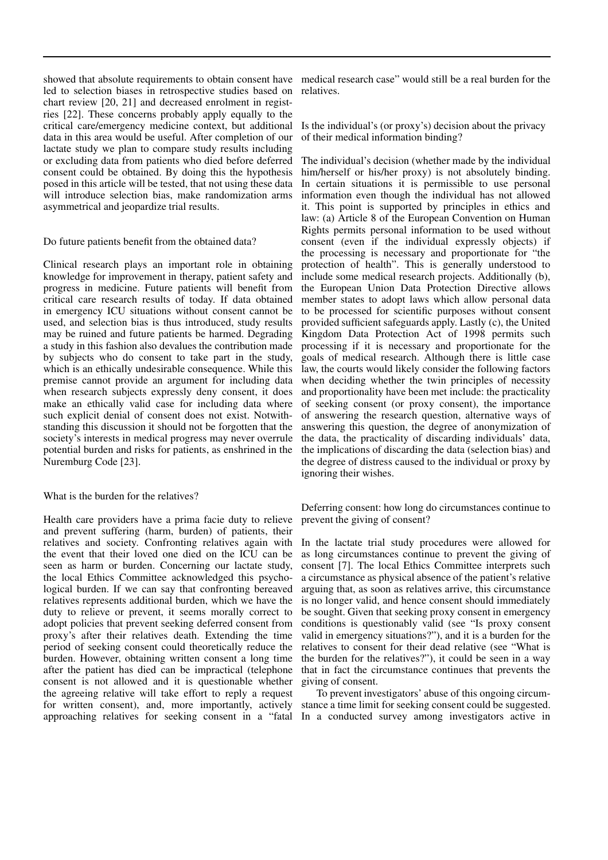showed that absolute requirements to obtain consent have medical research case" would still be a real burden for the led to selection biases in retrospective studies based on chart review [20, 21] and decreased enrolment in registries [22]. These concerns probably apply equally to the critical care/emergency medicine context, but additional data in this area would be useful. After completion of our lactate study we plan to compare study results including or excluding data from patients who died before deferred consent could be obtained. By doing this the hypothesis posed in this article will be tested, that not using these data will introduce selection bias, make randomization arms asymmetrical and jeopardize trial results.

#### Do future patients benefit from the obtained data?

Clinical research plays an important role in obtaining knowledge for improvement in therapy, patient safety and progress in medicine. Future patients will benefit from critical care research results of today. If data obtained in emergency ICU situations without consent cannot be used, and selection bias is thus introduced, study results may be ruined and future patients be harmed. Degrading a study in this fashion also devalues the contribution made by subjects who do consent to take part in the study, which is an ethically undesirable consequence. While this premise cannot provide an argument for including data when research subjects expressly deny consent, it does make an ethically valid case for including data where such explicit denial of consent does not exist. Notwithstanding this discussion it should not be forgotten that the society's interests in medical progress may never overrule potential burden and risks for patients, as enshrined in the Nuremburg Code [23].

#### What is the burden for the relatives?

Health care providers have a prima facie duty to relieve and prevent suffering (harm, burden) of patients, their relatives and society. Confronting relatives again with the event that their loved one died on the ICU can be seen as harm or burden. Concerning our lactate study, the local Ethics Committee acknowledged this psychological burden. If we can say that confronting bereaved relatives represents additional burden, which we have the duty to relieve or prevent, it seems morally correct to adopt policies that prevent seeking deferred consent from proxy's after their relatives death. Extending the time period of seeking consent could theoretically reduce the burden. However, obtaining written consent a long time after the patient has died can be impractical (telephone consent is not allowed and it is questionable whether the agreeing relative will take effort to reply a request for written consent), and, more importantly, actively approaching relatives for seeking consent in a "fatal

relatives.

Is the individual's (or proxy's) decision about the privacy of their medical information binding?

The individual's decision (whether made by the individual him/herself or his/her proxy) is not absolutely binding. In certain situations it is permissible to use personal information even though the individual has not allowed it. This point is supported by principles in ethics and law: (a) Article 8 of the European Convention on Human Rights permits personal information to be used without consent (even if the individual expressly objects) if the processing is necessary and proportionate for "the protection of health". This is generally understood to include some medical research projects. Additionally (b), the European Union Data Protection Directive allows member states to adopt laws which allow personal data to be processed for scientific purposes without consent provided sufficient safeguards apply. Lastly (c), the United Kingdom Data Protection Act of 1998 permits such processing if it is necessary and proportionate for the goals of medical research. Although there is little case law, the courts would likely consider the following factors when deciding whether the twin principles of necessity and proportionality have been met include: the practicality of seeking consent (or proxy consent), the importance of answering the research question, alternative ways of answering this question, the degree of anonymization of the data, the practicality of discarding individuals' data, the implications of discarding the data (selection bias) and the degree of distress caused to the individual or proxy by ignoring their wishes.

Deferring consent: how long do circumstances continue to prevent the giving of consent?

In the lactate trial study procedures were allowed for as long circumstances continue to prevent the giving of consent [7]. The local Ethics Committee interprets such a circumstance as physical absence of the patient's relative arguing that, as soon as relatives arrive, this circumstance is no longer valid, and hence consent should immediately be sought. Given that seeking proxy consent in emergency conditions is questionably valid (see "Is proxy consent valid in emergency situations?"), and it is a burden for the relatives to consent for their dead relative (see "What is the burden for the relatives?"), it could be seen in a way that in fact the circumstance continues that prevents the giving of consent.

To prevent investigators' abuse of this ongoing circumstance a time limit for seeking consent could be suggested. In a conducted survey among investigators active in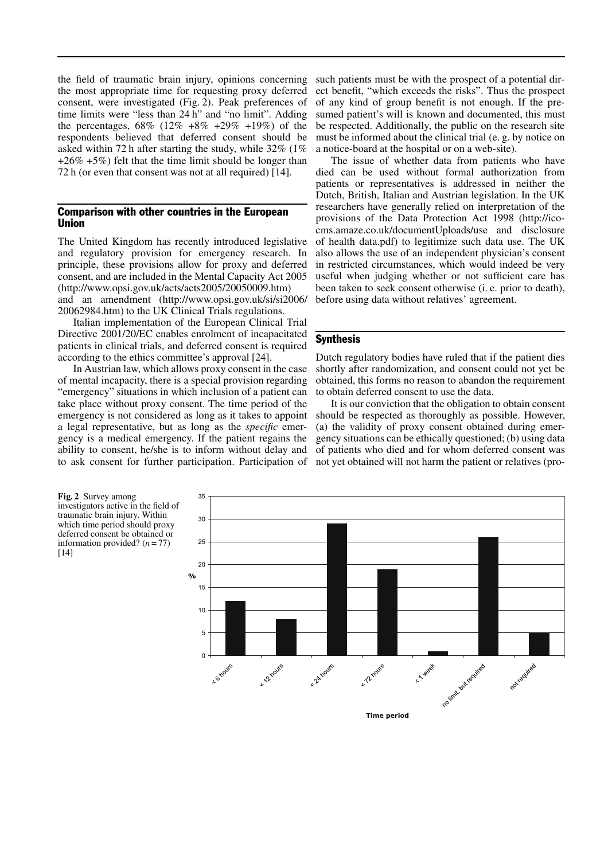the field of traumatic brain injury, opinions concerning the most appropriate time for requesting proxy deferred consent, were investigated (Fig. 2). Peak preferences of time limits were "less than 24 h" and "no limit". Adding the percentages,  $68\%$   $(12\% +8\% +29\% +19\%)$  of the respondents believed that deferred consent should be asked within 72 h after starting the study, while 32% (1%  $+26\% +5\%$  felt that the time limit should be longer than 72 h (or even that consent was not at all required) [14].

## Comparison with other countries in the European Union

The United Kingdom has recently introduced legislative and regulatory provision for emergency research. In principle, these provisions allow for proxy and deferred consent, and are included in the Mental Capacity Act 2005 (http://www.opsi.gov.uk/acts/acts2005/20050009.htm) and an amendment (http://www.opsi.gov.uk/si/si2006/ 20062984.htm) to the UK Clinical Trials regulations.

Italian implementation of the European Clinical Trial Directive 2001/20/EC enables enrolment of incapacitated patients in clinical trials, and deferred consent is required according to the ethics committee's approval [24].

In Austrian law, which allows proxy consent in the case of mental incapacity, there is a special provision regarding "emergency" situations in which inclusion of a patient can take place without proxy consent. The time period of the emergency is not considered as long as it takes to appoint a legal representative, but as long as the *specific* emergency is a medical emergency. If the patient regains the ability to consent, he/she is to inform without delay and to ask consent for further participation. Participation of such patients must be with the prospect of a potential direct benefit, "which exceeds the risks". Thus the prospect of any kind of group benefit is not enough. If the presumed patient's will is known and documented, this must be respected. Additionally, the public on the research site must be informed about the clinical trial (e. g. by notice on a notice-board at the hospital or on a web-site).

The issue of whether data from patients who have died can be used without formal authorization from patients or representatives is addressed in neither the Dutch, British, Italian and Austrian legislation. In the UK researchers have generally relied on interpretation of the provisions of the Data Protection Act 1998 (http://icocms.amaze.co.uk/documentUploads/use and disclosure of health data.pdf) to legitimize such data use. The UK also allows the use of an independent physician's consent in restricted circumstances, which would indeed be very useful when judging whether or not sufficient care has been taken to seek consent otherwise (i. e. prior to death), before using data without relatives' agreement.

#### Synthesis

Dutch regulatory bodies have ruled that if the patient dies shortly after randomization, and consent could not yet be obtained, this forms no reason to abandon the requirement to obtain deferred consent to use the data.

It is our conviction that the obligation to obtain consent should be respected as thoroughly as possible. However, (a) the validity of proxy consent obtained during emergency situations can be ethically questioned; (b) using data of patients who died and for whom deferred consent was not yet obtained will not harm the patient or relatives (pro-

**Fig. 2** Survey among investigators active in the field of traumatic brain injury. Within which time period should proxy deferred consent be obtained or information provided? (*n* = 77) [14]

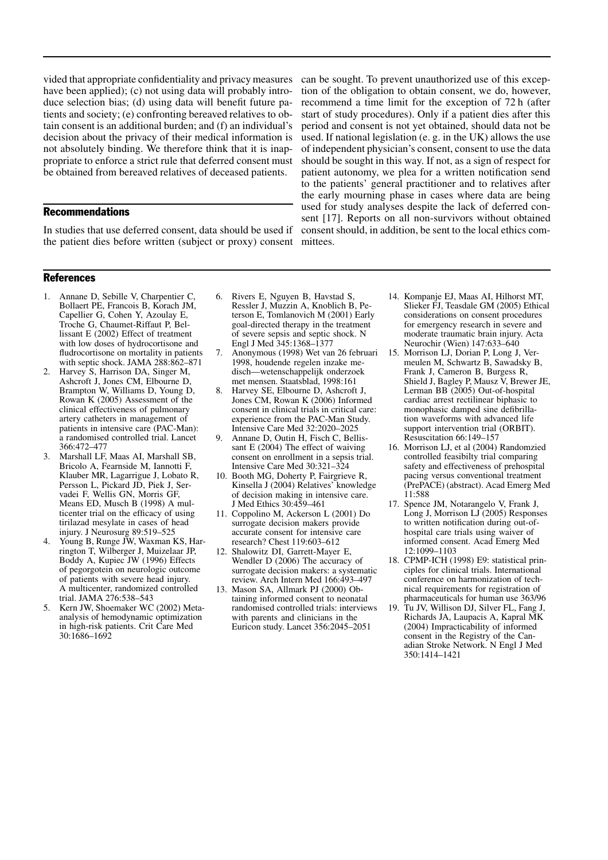vided that appropriate confidentiality and privacy measures have been applied); (c) not using data will probably introduce selection bias; (d) using data will benefit future patients and society; (e) confronting bereaved relatives to obtain consent is an additional burden; and (f) an individual's decision about the privacy of their medical information is not absolutely binding. We therefore think that it is inappropriate to enforce a strict rule that deferred consent must be obtained from bereaved relatives of deceased patients.

can be sought. To prevent unauthorized use of this exception of the obligation to obtain consent, we do, however, recommend a time limit for the exception of 72 h (after start of study procedures). Only if a patient dies after this period and consent is not yet obtained, should data not be used. If national legislation (e. g. in the UK) allows the use of independent physician's consent, consent to use the data should be sought in this way. If not, as a sign of respect for patient autonomy, we plea for a written notification send to the patients' general practitioner and to relatives after the early mourning phase in cases where data are being used for study analyses despite the lack of deferred consent [17]. Reports on all non-survivors without obtained consent should, in addition, be sent to the local ethics com-

# Recommendations

In studies that use deferred consent, data should be used if the patient dies before written (subject or proxy) consent mittees.

#### References

- 1. Annane D, Sebille V, Charpentier C, Bollaert PE, Francois B, Korach JM, Capellier G, Cohen Y, Azoulay E, Troche G, Chaumet-Riffaut P, Bellissant E (2002) Effect of treatment with low doses of hydrocortisone and fludrocortisone on mortality in patients with septic shock. JAMA 288:862–871
- 2. Harvey S, Harrison DA, Singer M, Ashcroft J, Jones CM, Elbourne D, Brampton W, Williams D, Young D, Rowan K (2005) Assessment of the clinical effectiveness of pulmonary artery catheters in management of patients in intensive care (PAC-Man): a randomised controlled trial. Lancet 366:472–477
- 3. Marshall LF, Maas AI, Marshall SB, Bricolo A, Fearnside M, Iannotti F, Klauber MR, Lagarrigue J, Lobato R, Persson L, Pickard JD, Piek J, Servadei F, Wellis GN, Morris GF, Means ED, Musch B (1998) A multicenter trial on the efficacy of using tirilazad mesylate in cases of head injury. J Neurosurg 89:519–525
- Young B, Runge JW, Waxman KS, Harrington T, Wilberger J, Muizelaar JP, Boddy A, Kupiec JW (1996) Effects of pegorgotein on neurologic outcome of patients with severe head injury. A multicenter, randomized controlled trial. JAMA 276:538–543
- 5. Kern JW, Shoemaker WC (2002) Metaanalysis of hemodynamic optimization in high-risk patients. Crit Care Med 30:1686–1692
- 6. Rivers E, Nguyen B, Havstad S, Ressler J, Muzzin A, Knoblich B, Peterson E, Tomlanovich M (2001) Early goal-directed therapy in the treatment of severe sepsis and septic shock. N Engl J Med 345:1368–1377
- 7. Anonymous (1998) Wet van 26 februari 1998, houdende regelen inzake medisch—wetenschappelijk onderzoek met mensen. Staatsblad, 1998:161
- 8. Harvey SE, Elbourne D, Ashcroft J, Jones CM, Rowan K (2006) Informed consent in clinical trials in critical care: experience from the PAC-Man Study. Intensive Care Med 32:2020–2025
- 9. Annane D, Outin H, Fisch C, Bellissant E (2004) The effect of waiving consent on enrollment in a sepsis trial. Intensive Care Med 30:321–324
- 10. Booth MG, Doherty P, Fairgrieve R, Kinsella J (2004) Relatives' knowledge of decision making in intensive care. J Med Ethics 30:459–461
- 11. Coppolino M, Ackerson L (2001) Do surrogate decision makers provide accurate consent for intensive care research? Chest 119:603–612
- 12. Shalowitz DI, Garrett-Mayer E, Wendler D (2006) The accuracy of surrogate decision makers: a systematic review. Arch Intern Med 166:493–497
- 13. Mason SA, Allmark PJ (2000) Obtaining informed consent to neonatal randomised controlled trials: interviews with parents and clinicians in the Euricon study. Lancet 356:2045–2051
- 14. Kompanje EJ, Maas AI, Hilhorst MT, Slieker FJ, Teasdale GM (2005) Ethical considerations on consent procedures for emergency research in severe and moderate traumatic brain injury. Acta Neurochir (Wien) 147:633–640
- 15. Morrison LJ, Dorian P, Long J, Vermeulen M, Schwartz B, Sawadsky B, Frank J, Cameron B, Burgess R, Shield J, Bagley P, Mausz V, Brewer JE, Lerman BB (2005) Out-of-hospital cardiac arrest rectilinear biphasic to monophasic damped sine defibrillation waveforms with advanced life support intervention trial (ORBIT). Resuscitation 66:149–157
- 16. Morrison LJ, et al (2004) Randomzied controlled feasibilty trial comparing safety and effectiveness of prehospital pacing versus conventional treatment (PrePACE) (abstract). Acad Emerg Med 11:588
- 17. Spence JM, Notarangelo V, Frank J, Long J, Morrison  $LJ(2005)$  Responses to written notification during out-ofhospital care trials using waiver of informed consent. Acad Emerg Med 12:1099–1103
- 18. CPMP-ICH (1998) E9: statistical principles for clinical trials. International conference on harmonization of technical requirements for registration of pharmaceuticals for human use 363/96
- 19. Tu JV, Willison DJ, Silver FL, Fang J, Richards JA, Laupacis A, Kapral MK (2004) Impracticability of informed consent in the Registry of the Canadian Stroke Network. N Engl J Med 350:1414–1421